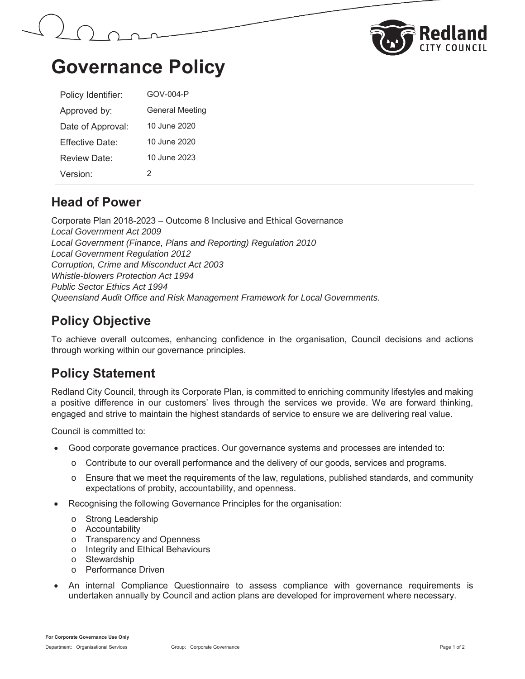



# **Governance Policy**

| Policy Identifier: | GOV-004-P              |
|--------------------|------------------------|
| Approved by:       | <b>General Meeting</b> |
| Date of Approval:  | 10 June 2020           |
| Fffective Date:    | 10 June 2020           |
| Review Date:       | 10 June 2023           |
| Version:           | 2                      |

### **Head of Power**

Corporate Plan 2018-2023 – Outcome 8 Inclusive and Ethical Governance *Local Government Act 2009 Local Government (Finance, Plans and Reporting) Regulation 2010 Local Government Regulation 2012 Corruption, Crime and Misconduct Act 2003 Whistle-blowers Protection Act 1994 Public Sector Ethics Act 1994 Queensland Audit Office and Risk Management Framework for Local Governments.*

## **Policy Objective**

To achieve overall outcomes, enhancing confidence in the organisation, Council decisions and actions through working within our governance principles.

### **Policy Statement**

Redland City Council, through its Corporate Plan, is committed to enriching community lifestyles and making a positive difference in our customers' lives through the services we provide. We are forward thinking, engaged and strive to maintain the highest standards of service to ensure we are delivering real value.

Council is committed to:

- Good corporate governance practices. Our governance systems and processes are intended to:
	- o Contribute to our overall performance and the delivery of our goods, services and programs.
	- $\circ$  Ensure that we meet the requirements of the law, regulations, published standards, and community expectations of probity, accountability, and openness.
- Recognising the following Governance Principles for the organisation:
	- o Strong Leadership
	- o Accountability
	- o Transparency and Openness
	- o Integrity and Ethical Behaviours
	- o Stewardship
	- o Performance Driven
- An internal Compliance Questionnaire to assess compliance with governance requirements is undertaken annually by Council and action plans are developed for improvement where necessary.